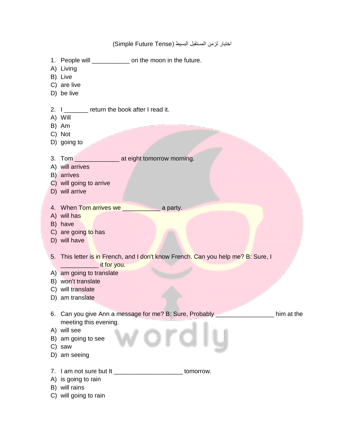1. People will \_\_\_\_\_\_\_\_\_\_\_\_\_ on the moon in the future. A) Living B) Live C) are live D) be live 2. I contracturn the book after I read it. A) Will B) Am C) Not D) going to 3. Tom \_\_\_\_\_\_\_\_\_\_\_\_\_\_\_\_ at eight tomorrow morning. A) will arrives B) arrives C) will going to arrive D) will arrive 4. When Tom arrives we **we arrively** a party. A) will has B) have C) are going to has D) will have 5. This letter is in French, and I don't know French. Can you help me? B: Sure, I **Example 2** it for you. A) am going to translate B) won't translate C) will translate D) am translate 6. Can you give Ann a message for me? B: Sure, Probably \_\_\_\_\_\_\_\_\_\_\_\_\_\_\_\_\_ him at the meeting this evening. A) will see B) am going to see C) saw D) am seeing 7. I am not sure but It \_\_\_\_\_\_\_\_\_\_\_\_\_\_\_\_\_\_\_\_\_\_\_\_\_\_ tomorrow. A) is going to rain B) will rains C) will going to rain

اختبار لزمن المستقبل البسيط (Simple Future Tense)